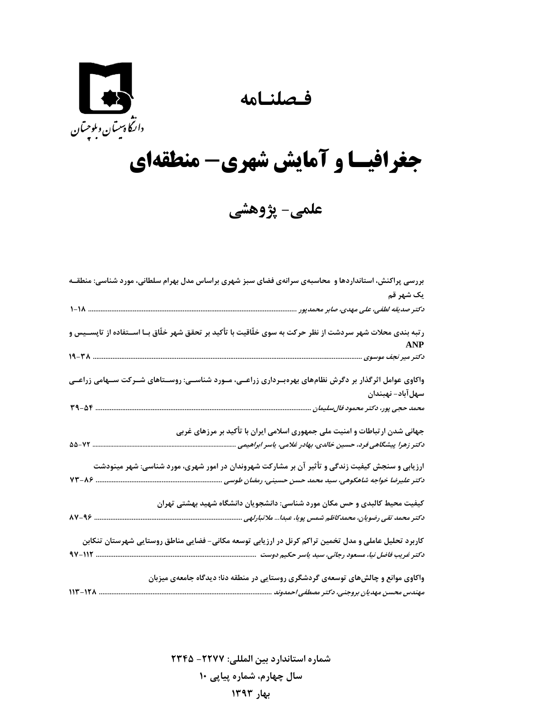**فـصلنـامه** 



## **جغرافيـا و آمايش شهري- منطقهاي**

**علمي- پژوهشي** 

| بررسی پراکنش، استانداردها و ًمحاسبهی سرانهی فضای سبز شهری براساس مدل بهرام سلطانی، مورد شناسی: منطقـه                                                                                                                                                                |
|----------------------------------------------------------------------------------------------------------------------------------------------------------------------------------------------------------------------------------------------------------------------|
| يک شهر قم                                                                                                                                                                                                                                                            |
|                                                                                                                                                                                                                                                                      |
| رتبه بندی محلات شهر سردشت از نظر حرکت به سوی خلّاقیت با تأکید بر تحقق شهر خلّاق بـا اســتفاده از تاپســیس و<br><b>ANP</b>                                                                                                                                            |
|                                                                                                                                                                                                                                                                      |
| واکاوی عوامل اثرگذار بر دگرش نظامهای بهرهبـرداری زراعــی، مــورد شناســی: روســتاهای شــرکت ســهامی زراعــی<br>سهلآباد- نهبندان                                                                                                                                      |
|                                                                                                                                                                                                                                                                      |
| جهانی شدن ارتباطات و امنیت ملی جمهوری اسلامی ایران با تأکید بر مرزهای غربی<br>$\Delta\Delta - VY$<br>دکتر زهرا پیشگاهی فرد، حسین خالدی، بهادر غلامی، یاسر ابراهیمی<br>ارزیابی و سنجش کیفیت زندگی و تأثیر آن بر مشارکت شهروندان در امور شهری، مورد شناسی: شهر مینودشت |
| دکتر علیرضا خواجه شاهکوهی، سید محمد حسن حسینی، رمضان طوسی                                                                                                                                                                                                            |
| کیفیت محیط کالبدی و حس مکان مورد شناسی: دانشجویان دانشگاه شهید بهشتی تهران<br><b>AV-98</b><br>دکتر محمد تقی رضویان، محمدکاظم شمس پویا، عبدا ملاتبارلهی                                                                                                               |
| کاربرد تحلیل عاملی و مدل تخمین تراکم کرنل در ارزیابی توسعه مکانی- فضایی مناطق روستایی شهرستان تنکابن<br>دکتر غریب فاضل نیا، مسعود رجائی، سید یاسر حکیم دوست اسسسسسسسسسسسسسسسسسسسسسسسسسسسسس<br>. ۹۷-۱۱۲                                                               |
| واکاوی موانع و چالشهای توسعهی گردشگری روستایی در منطقه دنا؛ دیدگاه جامعهی میزبان<br>$117 - 171$<br>مهندس محسن مهديان بروجني، دكتر مصطفى احمدوند                                                                                                                      |

**شماره استاندارد بين المللي: -2277 2345 سال چهارم، شماره پياپي 10 بهار 1393**